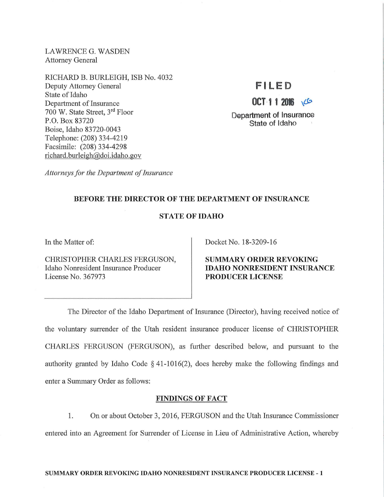LAWRENCE G. WASDEN Attorney General

RICHARD B. BURLEIGH, ISB No. 4032 Deputy Attorney General State of Idaho Department of Insurance 700 W. State Street, 3rd Floor P.O. Box 83720 Boise, Idaho 83720-0043 Telephone: (208) 334-4219 Facsimile: (208) 334-4298 richard. burleigh@doi.idaho.gov

# **F I LED**

**OCT** 1 1 2016 \te

Department of Insurance State of Idaho

*Attorneys for the Department of Insurance* 

# BEFORE THE DIRECTOR OF THE DEPARTMENT OF INSURANCE

# STATE OF IDAHO

In the Matter of:

CHRISTOPHER CHARLES FERGUSON, Idaho Nonresident Insurance Producer License No. 367973

Docket No. 18-3209-16

SUMMARY ORDER REVOKING IDAHO NONRESIDENT INSURANCE PRODUCER LICENSE

The Director of the Idaho Department of Insurance (Director), having received notice of the voluntary sunender of the Utah resident insurance producer license of CHRISTOPHER CHARLES FERGUSON (FERGUSON), as fmiher described below, and pursuant to the authority granted by Idaho Code  $\S$  41-1016(2), does hereby make the following findings and enter a Summary Order as follows:

## FINDINGS OF FACT

1. On or about October 3, 2016, FERGUSON and the Utah Insurance Commissioner entered into an Agreement for Surrender of License in Lieu of Administrative Action, whereby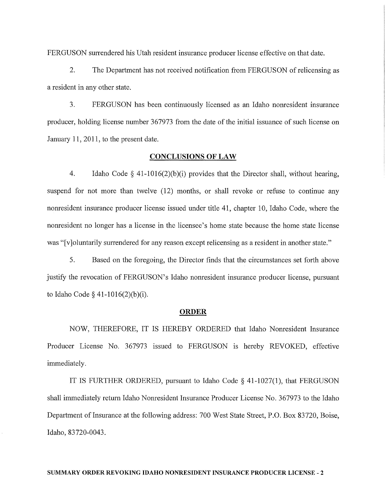FERGUSON sunendered his Utah resident insurance producer license effective on that date.

2. The Department has not received notification from FERGUSON of relicensing as a resident in any other state.

3. FERGUSON has been continuously licensed as an Idaho nonresident insurance producer, holding license number 367973 from the date of the initial issuance of such license on January **11,** 2011, to the present date.

## **CONCLUSIONS OF LAW**

4. Idaho Code § 41-1016(2)(b)(i) provides that the Director shall, without hearing, suspend for not more than twelve (12) months, or shall revoke or refuse to continue any nonresident insurance producer license issued under title 41, chapter 10, Idaho Code, where the nonresident no longer has a license in the licensee's home state because the home state license was "[v]oluntarily surrendered for any reason except relicensing as a resident in another state."

5. Based on the foregoing, the Director finds that the circumstances set forth above justify the revocation of FERGUSON's Idaho nonresident insurance producer license, pursuant to Idaho Code § 41-1016(2)(b)(i).

### **ORDER**

NOW, THEREFORE, IT IS HEREBY ORDERED that Idaho Nonresident Insurance Producer License No. 367973 issued to FERGUSON is hereby REVOKED, effective immediately.

IT IS FURTHER ORDERED, pursuant to Idaho Code § 41-1027(1), that FERGUSON shall immediately return Idaho Nonresident Insurance Producer License No. 367973 to the Idaho Department of Insurance at the following address: 700 West State Street, P.O. Box 83720, Boise, Idaho, 83720-0043.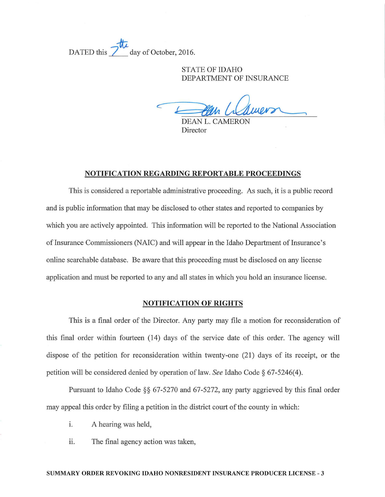DATED this 2<sup>th</sup> day of October, 2016.

STATE OF IDAHO DEPARTMENT OF INSURANCE

STATE OF IDAHO<br>DEPARTMENT OF INSURANC<br>DEAN L. CAMERON

Director

### NOTIFICATION REGARDING REPORTABLE PROCEEDINGS

This is considered a reportable administrative proceeding. As such, it is a public record and is public information that may be disclosed to other states and reported to companies by which you are actively appointed. This information will be reported to the National Association of Insurance Commissioners (NAIC) and will appear in the Idaho Department of Insurance's online searchable database. Be aware that this proceeding must be disclosed on any license application and must be reported to any and all states in which you hold an insurance license.

## NOTIFICATION OF RIGHTS

This is a final order of the Director. Any party may file a motion for reconsideration of this final order within fomteen (14) days of the service date of this order. The agency will dispose of the petition for reconsideration within twenty-one (21) days of its receipt, or the petition will be considered denied by operation of law. *See* Idaho Code § 67-5246(4).

Pursuant to Idaho Code  $\S$ § 67-5270 and 67-5272, any party aggrieved by this final order may appeal this order by filing a petition in the district court of the county in which:

- i. A hearing was held,
- ii. The final agency action was taken,